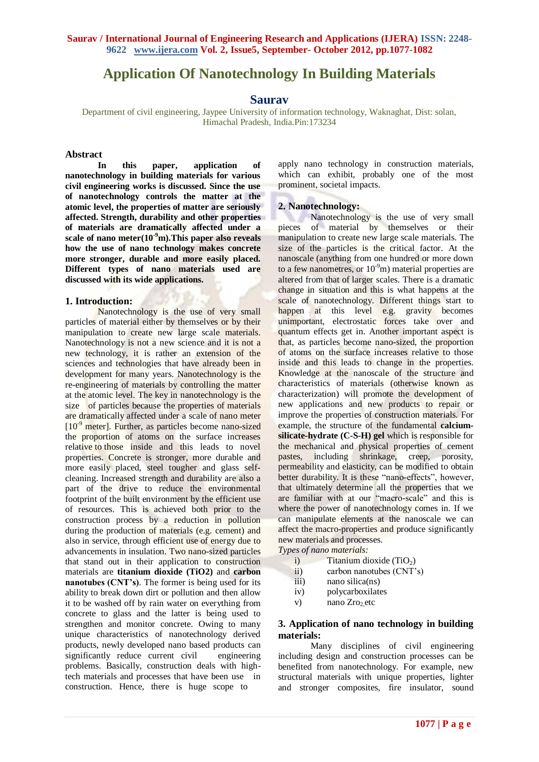# **Application Of Nanotechnology In Building Materials**

## **Saurav**

Department of civil engineering, Jaypee University of information technology, Waknaghat, Dist: solan, Himachal Pradesh, India.Pin:173234

### **Abstract**

In this paper, application of **nanotechnology in building materials for various civil engineering works is discussed. Since the use of nanotechnology controls the matter at the atomic level, the properties of matter are seriously affected. Strength, durability and other properties of materials are dramatically affected under a scale of nano meter(10-9m).This paper also reveals how the use of nano technology makes concrete more stronger, durable and more easily placed. Different types of nano materials used are discussed with its wide applications.**

#### **1. Introduction:**

Nanotechnology is the use of very small particles of material either by themselves or by their manipulation to create new large scale materials. Nanotechnology is not a new science and it is not a new technology, it is rather an extension of the sciences and technologies that have already been in development for many years. Nanotechnology is the re-engineering of materials by controlling the matter at the atomic level. The key in nanotechnology is the size of particles because the properties of materials are dramatically affected under a scale of nano meter  $[10<sup>-9</sup>$  meter]. Further, as particles become nano-sized the proportion of atoms on the surface increases relative to those inside and this leads to novel properties. Concrete is stronger, more durable and more easily placed, steel tougher and glass selfcleaning. Increased strength and durability are also a part of the drive to reduce the environmental footprint of the built environment by the efficient use of resources. This is achieved both prior to the construction process by a reduction in pollution during the production of materials (e.g. cement) and also in service, through efficient use of energy due to advancements in insulation. Two nano-sized particles that stand out in their application to construction materials are **titanium dioxide (TiO2)** and **carbon nanotubes (CNT's)**. The former is being used for its ability to break down dirt or pollution and then allow it to be washed off by rain water on everything from concrete to glass and the latter is being used to strengthen and monitor concrete. Owing to many unique characteristics of nanotechnology derived products, newly developed nano based products can significantly reduce current civil engineering problems. Basically, construction deals with hightech materials and processes that have been use in construction. Hence, there is huge scope to

apply nano technology in construction materials, which can exhibit, probably one of the most prominent, societal impacts.

#### **2. Nanotechnology:**

Nanotechnology is the use of very small pieces of material by themselves or their manipulation to create new large scale materials. The size of the particles is the critical factor. At the nanoscale (anything from one hundred or more down to a few nanometres, or  $10^{-9}$ m) material properties are altered from that of larger scales. There is a dramatic change in situation and this is what happens at the scale of nanotechnology. Different things start to happen at this level e.g. gravity becomes unimportant, electrostatic forces take over and quantum effects get in. Another important aspect is that, as particles become nano-sized, the proportion of atoms on the surface increases relative to those inside and this leads to change in the properties. Knowledge at the nanoscale of the structure and characteristics of materials (otherwise known as characterization) will promote the development of new applications and new products to repair or improve the properties of construction materials. For example, the structure of the fundamental **calciumsilicate-hydrate (C-S-H) gel** which is responsible for the mechanical and physical properties of cement pastes, including shrinkage, creep, porosity, permeability and elasticity, can be modified to obtain better durability. It is these "nano-effects", however, that ultimately determine all the properties that we are familiar with at our "macro-scale" and this is where the power of nanotechnology comes in. If we can manipulate elements at the nanoscale we can affect the macro-properties and produce significantly new materials and processes.

*Types of nano materials:*

- i) Titanium dioxide  $(TiO<sub>2</sub>)$
- ii) carbon nanotubes (CNT's)
- iii) nano silica(ns)
- iv) polycarboxilates
- v) nano Zro<sub>2</sub> etc

### **3. Application of nano technology in building materials:**

Many disciplines of civil engineering including design and construction processes can be benefited from nanotechnology. For example, new structural materials with unique properties, lighter and stronger composites, fire insulator, sound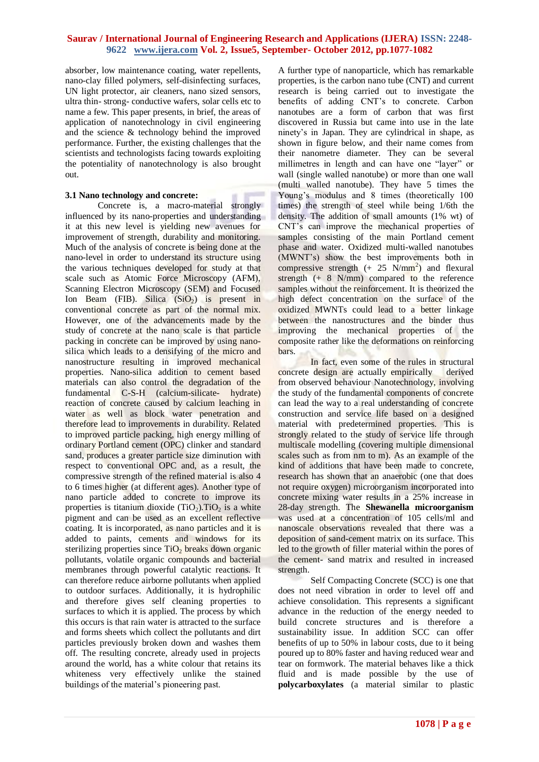absorber, low maintenance coating, water repellents, nano-clay filled polymers, self-disinfecting surfaces, UN light protector, air cleaners, nano sized sensors, ultra thin- strong- conductive wafers, solar cells etc to name a few. This paper presents, in brief, the areas of application of nanotechnology in civil engineering and the science & technology behind the improved performance. Further, the existing challenges that the scientists and technologists facing towards exploiting the potentiality of nanotechnology is also brought out.

#### **3.1 Nano technology and concrete:**

Concrete is, a macro-material strongly influenced by its nano-properties and understanding it at this new level is yielding new avenues for improvement of strength, durability and monitoring. Much of the analysis of concrete is being done at the nano-level in order to understand its structure using the various techniques developed for study at that scale such as Atomic Force Microscopy (AFM), Scanning Electron Microscopy (SEM) and Focused Ion Beam (FIB). Silica  $(SiO<sub>2</sub>)$  is present in conventional concrete as part of the normal mix. However, one of the advancements made by the study of concrete at the nano scale is that particle packing in concrete can be improved by using nanosilica which leads to a densifying of the micro and nanostructure resulting in improved mechanical properties. Nano-silica addition to cement based materials can also control the degradation of the fundamental C-S-H (calcium-silicate- hydrate) reaction of concrete caused by calcium leaching in water as well as block water penetration and therefore lead to improvements in durability. Related to improved particle packing, high energy milling of ordinary Portland cement (OPC) clinker and standard sand, produces a greater particle size diminution with respect to conventional OPC and, as a result, the compressive strength of the refined material is also 4 to 6 times higher (at different ages). Another type of nano particle added to concrete to improve its properties is titanium dioxide  $(TiO<sub>2</sub>)$ . TiO<sub>2</sub> is a white pigment and can be used as an excellent reflective coating. It is incorporated, as nano particles and it is added to paints, cements and windows for its sterilizing properties since  $TiO<sub>2</sub>$  breaks down organic pollutants, volatile organic compounds and bacterial membranes through powerful catalytic reactions. It can therefore reduce airborne pollutants when applied to outdoor surfaces. Additionally, it is hydrophilic and therefore gives self cleaning properties to surfaces to which it is applied. The process by which this occurs is that rain water is attracted to the surface and forms sheets which collect the pollutants and dirt particles previously broken down and washes them off. The resulting concrete, already used in projects around the world, has a white colour that retains its whiteness very effectively unlike the stained buildings of the material's pioneering past.

A further type of nanoparticle, which has remarkable properties, is the carbon nano tube (CNT) and current research is being carried out to investigate the benefits of adding CNT's to concrete. Carbon nanotubes are a form of carbon that was first discovered in Russia but came into use in the late ninety's in Japan. They are cylindrical in shape, as shown in figure below, and their name comes from their nanometre diameter. They can be several millimetres in length and can have one "layer" or wall (single walled nanotube) or more than one wall (multi walled nanotube). They have 5 times the Young's modulus and 8 times (theoretically 100 times) the strength of steel while being 1/6th the density. The addition of small amounts (1% wt) of CNT's can improve the mechanical properties of samples consisting of the main Portland cement phase and water. Oxidized multi-walled nanotubes (MWNT's) show the best improvements both in compressive strength  $(+ 25 \text{ N/mm}^2)$  and flexural strength (+ 8 N/mm) compared to the reference samples without the reinforcement. It is theorized the high defect concentration on the surface of the oxidized MWNTs could lead to a better linkage between the nanostructures and the binder thus improving the mechanical properties of the composite rather like the deformations on reinforcing bars.

In fact, even some of the rules in structural concrete design are actually empirically derived from observed behaviour Nanotechnology, involving the study of the fundamental components of concrete can lead the way to a real understanding of concrete construction and service life based on a designed material with predetermined properties. This is strongly related to the study of service life through multiscale modelling (covering multiple dimensional scales such as from nm to m). As an example of the kind of additions that have been made to concrete, research has shown that an anaerobic (one that does not require oxygen) microorganism incorporated into concrete mixing water results in a 25% increase in 28-day strength. The **Shewanella microorganism** was used at a concentration of 105 cells/ml and nanoscale observations revealed that there was a deposition of sand-cement matrix on its surface. This led to the growth of filler material within the pores of the cement- sand matrix and resulted in increased strength.

Self Compacting Concrete (SCC) is one that does not need vibration in order to level off and achieve consolidation. This represents a significant advance in the reduction of the energy needed to build concrete structures and is therefore a sustainability issue. In addition SCC can offer benefits of up to 50% in labour costs, due to it being poured up to 80% faster and having reduced wear and tear on formwork. The material behaves like a thick fluid and is made possible by the use of **polycarboxylates** (a material similar to plastic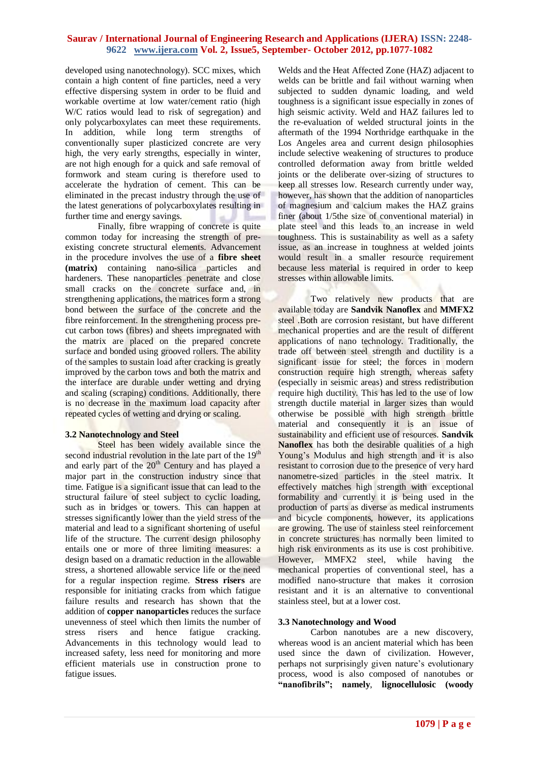developed using nanotechnology). SCC mixes, which contain a high content of fine particles, need a very effective dispersing system in order to be fluid and workable overtime at low water/cement ratio (high W/C ratios would lead to risk of segregation) and only polycarboxylates can meet these requirements. In addition, while long term strengths of conventionally super plasticized concrete are very high, the very early strengths, especially in winter, are not high enough for a quick and safe removal of formwork and steam curing is therefore used to accelerate the hydration of cement. This can be eliminated in the precast industry through the use of the latest generations of polycarboxylates resulting in further time and energy savings.

Finally, fibre wrapping of concrete is quite common today for increasing the strength of preexisting concrete structural elements. Advancement in the procedure involves the use of a **fibre sheet (matrix)** containing nano-silica particles and hardeners. These nanoparticles penetrate and close small cracks on the concrete surface and, in strengthening applications, the matrices form a strong bond between the surface of the concrete and the fibre reinforcement. In the strengthening process precut carbon tows (fibres) and sheets impregnated with the matrix are placed on the prepared concrete surface and bonded using grooved rollers. The ability of the samples to sustain load after cracking is greatly improved by the carbon tows and both the matrix and the interface are durable under wetting and drying and scaling (scraping) conditions. Additionally, there is no decrease in the maximum load capacity after repeated cycles of wetting and drying or scaling.

## **3.2 Nanotechnology and Steel**

Steel has been widely available since the second industrial revolution in the late part of the 19<sup>th</sup> and early part of the  $20<sup>th</sup>$  Century and has played a major part in the construction industry since that time. Fatigue is a significant issue that can lead to the structural failure of steel subject to cyclic loading, such as in bridges or towers. This can happen at stresses significantly lower than the yield stress of the material and lead to a significant shortening of useful life of the structure. The current design philosophy entails one or more of three limiting measures: a design based on a dramatic reduction in the allowable stress, a shortened allowable service life or the need for a regular inspection regime. **Stress risers** are responsible for initiating cracks from which fatigue failure results and research has shown that the addition of **copper nanoparticles** reduces the surface unevenness of steel which then limits the number of stress risers and hence fatigue cracking. Advancements in this technology would lead to increased safety, less need for monitoring and more efficient materials use in construction prone to fatigue issues.

Welds and the Heat Affected Zone (HAZ) adjacent to welds can be brittle and fail without warning when subjected to sudden dynamic loading, and weld toughness is a significant issue especially in zones of high seismic activity. Weld and HAZ failures led to the re-evaluation of welded structural joints in the aftermath of the 1994 Northridge earthquake in the Los Angeles area and current design philosophies include selective weakening of structures to produce controlled deformation away from brittle welded joints or the deliberate over-sizing of structures to keep all stresses low. Research currently under way, however, has shown that the addition of nanoparticles of magnesium and calcium makes the HAZ grains finer (about 1/5the size of conventional material) in plate steel and this leads to an increase in weld toughness. This is sustainability as well as a safety issue, as an increase in toughness at welded joints would result in a smaller resource requirement because less material is required in order to keep stresses within allowable limits.

Two relatively new products that are available today are **Sandvik Nanoflex** and **MMFX2**  steel .Both are corrosion resistant, but have different mechanical properties and are the result of different applications of nano technology. Traditionally, the trade off between steel strength and ductility is a significant issue for steel; the forces in modern construction require high strength, whereas safety (especially in seismic areas) and stress redistribution require high ductility. This has led to the use of low strength ductile material in larger sizes than would otherwise be possible with high strength brittle material and consequently it is an issue of sustainability and efficient use of resources. **Sandvik Nanoflex** has both the desirable qualities of a high Young's Modulus and high strength and it is also resistant to corrosion due to the presence of very hard nanometre-sized particles in the steel matrix. It effectively matches high strength with exceptional formability and currently it is being used in the production of parts as diverse as medical instruments and bicycle components, however, its applications are growing. The use of stainless steel reinforcement in concrete structures has normally been limited to high risk environments as its use is cost prohibitive. However, MMFX2 steel, while having the mechanical properties of conventional steel, has a modified nano-structure that makes it corrosion resistant and it is an alternative to conventional stainless steel, but at a lower cost.

## **3.3 Nanotechnology and Wood**

Carbon nanotubes are a new discovery, whereas wood is an ancient material which has been used since the dawn of civilization. However, perhaps not surprisingly given nature's evolutionary process, wood is also composed of nanotubes or **"nanofibrils"; namely**, **lignocellulosic (woody**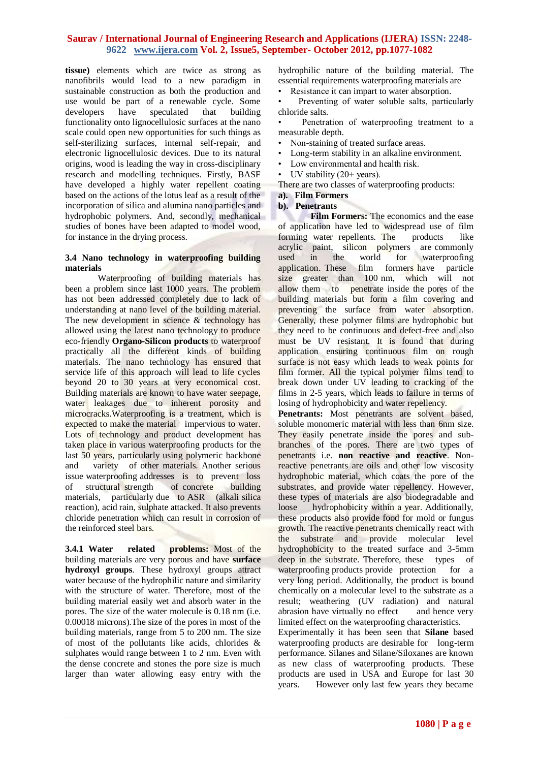**tissue)** elements which are twice as strong as nanofibrils would lead to a new paradigm in sustainable construction as both the production and use would be part of a renewable cycle. Some developers have speculated that building functionality onto lignocellulosic surfaces at the nano scale could open new opportunities for such things as self-sterilizing surfaces, internal self-repair, and electronic lignocellulosic devices. Due to its natural origins, wood is leading the way in cross-disciplinary research and modelling techniques. Firstly, BASF have developed a highly water repellent coating based on the actions of the lotus leaf as a result of the incorporation of silica and alumina nano particles and hydrophobic polymers. And, secondly, mechanical studies of bones have been adapted to model wood, for instance in the drying process.

## **3.4 Nano technology in waterproofing building materials**

Waterproofing of building materials has been a problem since last 1000 years. The problem has not been addressed completely due to lack of understanding at nano level of the building material. The new development in science & technology has allowed using the latest nano technology to produce eco-friendly **Organo-Silicon products** to waterproof practically all the different kinds of building materials. The nano technology has ensured that service life of this approach will lead to life cycles beyond 20 to 30 years at very economical cost. Building materials are known to have water seepage, water leakages due to inherent porosity and microcracks.Waterproofing is a treatment, which is expected to make the material impervious to water. Lots of technology and product development has taken place in various waterproofing products for the last 50 years, particularly using polymeric backbone and variety of other materials. Another serious issue waterproofing addresses is to prevent loss of structural strength of concrete building materials, particularly due to ASR (alkali silica reaction), acid rain, sulphate attacked. It also prevents chloride penetration which can result in corrosion of the reinforced steel bars.

**3.4.1 Water related problems:** Most of the building materials are very porous and have **surface hydroxyl groups**. These hydroxyl groups attract water because of the hydrophilic nature and similarity with the structure of water. Therefore, most of the building material easily wet and absorb water in the pores. The size of the water molecule is 0.18 nm (i.e. 0.00018 microns).The size of the pores in most of the building materials, range from 5 to 200 nm. The size of most of the pollutants like acids, chlorides & sulphates would range between 1 to 2 nm. Even with the dense concrete and stones the pore size is much larger than water allowing easy entry with the

hydrophilic nature of the building material. The essential requirements waterproofing materials are

Resistance it can impart to water absorption.

• Preventing of water soluble salts, particularly chloride salts.

• Penetration of waterproofing treatment to a measurable depth.

- Non-staining of treated surface areas.
- Long-term stability in an alkaline environment.
- Low environmental and health risk.
- UV stability  $(20+)$  years).

There are two classes of waterproofing products:

# **a). Film Formers**

#### **b). Penetrants**

**Film Formers:** The economics and the ease of application have led to widespread use of film forming water repellents. The products like acrylic paint, silicon polymers are commonly used in the world for waterproofing application. These film formers have particle size greater than 100 nm, which will not allow them to penetrate inside the pores of the building materials but form a film covering and preventing the surface from water absorption. Generally, these polymer films are hydrophobic but they need to be continuous and defect-free and also must be UV resistant. It is found that during application ensuring continuous film on rough surface is not easy which leads to weak points for film former. All the typical polymer films tend to break down under UV leading to cracking of the films in 2-5 years, which leads to failure in terms of losing of hydrophobicity and water repellency.

**Penetrants:** Most penetrants are solvent based, soluble monomeric material with less than 6nm size. They easily penetrate inside the pores and subbranches of the pores. There are two types of penetrants i.e. **non reactive and reactive**. Nonreactive penetrants are oils and other low viscosity hydrophobic material, which coats the pore of the substrates, and provide water repellency. However, these types of materials are also biodegradable and loose hydrophobicity within a year. Additionally, these products also provide food for mold or fungus growth. The reactive penetrants chemically react with the substrate and provide molecular level hydrophobicity to the treated surface and 3-5mm deep in the substrate. Therefore, these types of waterproofing products provide protection for a very long period. Additionally, the product is bound chemically on a molecular level to the substrate as a result; weathering (UV radiation) and natural abrasion have virtually no effect and hence very limited effect on the waterproofing characteristics.

Experimentally it has been seen that **Silane** based waterproofing products are desirable for long-term performance. Silanes and Silane/Siloxanes are known as new class of waterproofing products. These products are used in USA and Europe for last 30 years. However only last few years they became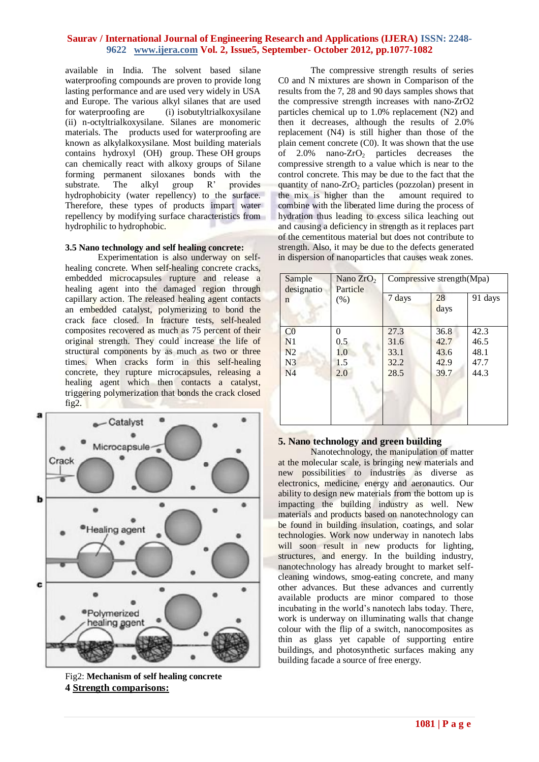available in India. The solvent based silane waterproofing compounds are proven to provide long lasting performance and are used very widely in USA and Europe. The various alkyl silanes that are used for waterproofing are (i) isobutyltrialkoxysilane (ii) n-octyltrialkoxysilane. Silanes are monomeric materials. The products used for waterproofing are known as alkylalkoxysilane. Most building materials contains hydroxyl (OH) group. These OH groups can chemically react with alkoxy groups of Silane forming permanent siloxanes bonds with the substrate. The alkyl group R' provides hydrophobicity (water repellency) to the surface. Therefore, these types of products impart water repellency by modifying surface characteristics from hydrophilic to hydrophobic.

#### **3.5 Nano technology and self healing concrete:**

Experimentation is also underway on selfhealing concrete. When self-healing concrete cracks, embedded microcapsules rupture and release a healing agent into the damaged region through capillary action. The released healing agent contacts an embedded catalyst, polymerizing to bond the crack face closed. In fracture tests, self-healed composites recovered as much as 75 percent of their original strength. They could increase the life of structural components by as much as two or three times. When cracks form in this self-healing concrete, they rupture microcapsules, releasing a healing agent which then contacts a catalyst, triggering polymerization that bonds the crack closed fig2.



Fig2: **Mechanism of self healing concrete 4 Strength comparisons:**

The compressive strength results of series C0 and N mixtures are shown in Comparison of the results from the 7, 28 and 90 days samples shows that the compressive strength increases with nano-ZrO2 particles chemical up to 1.0% replacement (N2) and then it decreases, although the results of 2.0% replacement (N4) is still higher than those of the plain cement concrete (C0). It was shown that the use of  $2.0\%$  nano-ZrO<sub>2</sub> particles decreases the compressive strength to a value which is near to the control concrete. This may be due to the fact that the quantity of nano- $ZrO<sub>2</sub>$  particles (pozzolan) present in the mix is higher than the amount required to the mix is higher than the combine with the liberated lime during the process of hydration thus leading to excess silica leaching out and causing a deficiency in strength as it replaces part of the cementitous material but does not contribute to strength. Also, it may be due to the defects generated in dispersion of nanoparticles that causes weak zones.

| Sample<br>designatio | Nano $ZrO2$<br>Particle | Compressive strength (Mpa) |            |         |
|----------------------|-------------------------|----------------------------|------------|---------|
| (% )<br>n            |                         | 7 days                     | 28<br>days | 91 days |
| CO                   | 0                       | 27.3                       | 36.8       | 42.3    |
| N <sub>1</sub>       | 0.5                     | 31.6                       | 42.7       | 46.5    |
| N <sub>2</sub>       | 1.0                     | 33.1                       | 43.6       | 48.1    |
| N <sub>3</sub>       | 1.5                     | 32.2                       | 42.9       | 47.7    |
| N4                   | 2.0                     | 28.5                       | 39.7       | 44.3    |
|                      |                         |                            |            |         |
|                      |                         |                            |            |         |
|                      |                         |                            |            |         |
|                      |                         |                            |            |         |

## **5. Nano technology and green building**

Nanotechnology, the manipulation of matter at the molecular scale, is bringing new materials and new possibilities to industries as diverse as electronics, medicine, energy and aeronautics. Our ability to design new materials from the bottom up is impacting the building industry as well. New materials and products based on nanotechnology can be found in building insulation, coatings, and solar technologies. Work now underway in nanotech labs will soon result in new products for lighting, structures, and energy. In the building industry, nanotechnology has already brought to market selfcleaning windows, smog-eating concrete, and many other advances. But these advances and currently available products are minor compared to those incubating in the world's nanotech labs today. There, work is underway on illuminating walls that change colour with the flip of a switch, nanocomposites as thin as glass yet capable of supporting entire buildings, and photosynthetic surfaces making any building facade a source of free energy.